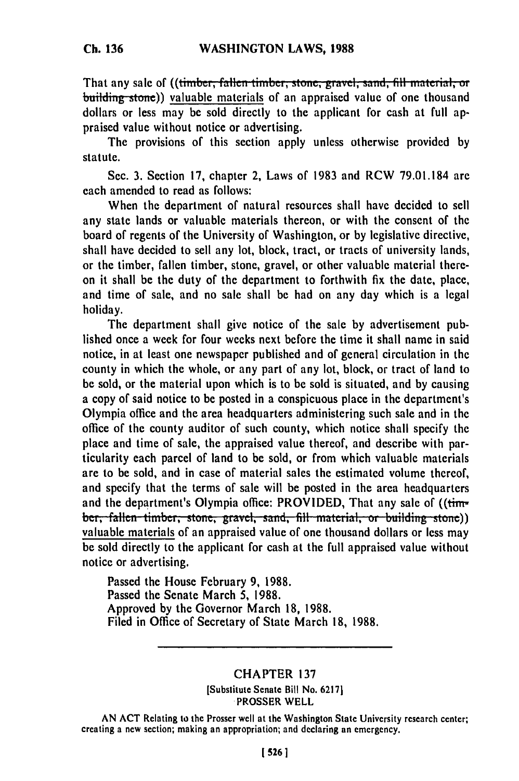That any sale of ((timber, fallen timber, stone, gravel, sand, fill material, or building stone)) valuable materials of an appraised value of one thousand dollars or less may be sold directly to the applicant for cash at full appraised value without notice or advertising.

The provisions of this section apply unless otherwise provided by statute.

Sec. 3. Section 17, chapter 2, Laws of 1983 and RCW 79.01.184 are each amended to read as follows:

When the department of natural resources shall have decided to sell any state lands or valuable materials thereon, or with the consent of the board of regents of the University of Washington, or by legislative directive, shall have decided to sell any lot, block, tract, or tracts of university lands, or the timber, fallen timber, stone, gravel, or other valuable material thereon it shall be the duty of the department to forthwith fix the date, place, and time of sale, and no sale shall be had on any day which is a legal holiday.

The department shall give notice of the sale by advertisement published once a week for four weeks next before the time it shall name in said notice, in at least one newspaper published and of general circulation in the county in which the whole, or any part of any lot, block, or tract of land to be sold, or the material upon which is to be sold is situated, and by causing a copy of said notice to be posted in a conspicuous place in the department's Olympia office and the area headquarters administering such sale and in the office of the county auditor of such county, which notice shall specify the place and time of sale, the appraised value thereof, and describe with particularity each parcel of land to be sold, or from which valuable materials are to be sold, and in case of material sales the estimated volume thereof, and specify that the terms of sale will be posted in the area headquarters and the department's Olympia office: PROVIDED, That any sale of ((tim**ber, fallen timber, stone, gravel, sand, fill material, or building stone))** valuable materials of an appraised value of one thousand dollars or less may be sold directly to the applicant for cash at the full appraised value without notice or advertising.

Passed the House February 9, 1988. Passed the Senate March 5, 1988. Approved by the Governor March 18, 1988. Filed in Office of Secretary of State March 18, 1988.

## CHAPTER 137

[Substitute Senate Bill No. 62171 .PROSSER WELL

AN ACT Relating to the Prosser well at the Washington State University research center; creating a new section; making an appropriation, and declaring an emergency.